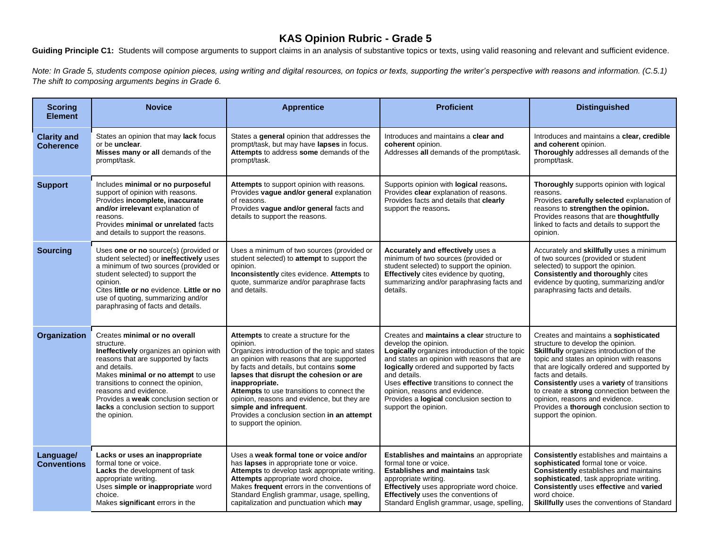## **KAS Opinion Rubric - Grade 5**

Guiding Principle C1: Students will compose arguments to support claims in an analysis of substantive topics or texts, using valid reasoning and relevant and sufficient evidence.

*Note: In Grade 5, students compose opinion pieces, using writing and digital resources, on topics or texts, supporting the writer's perspective with reasons and <i>information.* (C.5.1) *The shift to composing arguments begins in Grade 6.*

| <b>Scoring</b><br><b>Element</b>       | <b>Novice</b>                                                                                                                                                                                                                                                                                                                                         | <b>Apprentice</b>                                                                                                                                                                                                                                                                                                                                                                                                                                                  | <b>Proficient</b>                                                                                                                                                                                                                                                                                                                                                                        | <b>Distinguished</b>                                                                                                                                                                                                                                                                                                                                                                                                                             |
|----------------------------------------|-------------------------------------------------------------------------------------------------------------------------------------------------------------------------------------------------------------------------------------------------------------------------------------------------------------------------------------------------------|--------------------------------------------------------------------------------------------------------------------------------------------------------------------------------------------------------------------------------------------------------------------------------------------------------------------------------------------------------------------------------------------------------------------------------------------------------------------|------------------------------------------------------------------------------------------------------------------------------------------------------------------------------------------------------------------------------------------------------------------------------------------------------------------------------------------------------------------------------------------|--------------------------------------------------------------------------------------------------------------------------------------------------------------------------------------------------------------------------------------------------------------------------------------------------------------------------------------------------------------------------------------------------------------------------------------------------|
| <b>Clarity and</b><br><b>Coherence</b> | States an opinion that may lack focus<br>or be unclear.<br>Misses many or all demands of the<br>prompt/task.                                                                                                                                                                                                                                          | States a general opinion that addresses the<br>prompt/task, but may have lapses in focus.<br>Attempts to address some demands of the<br>prompt/task.                                                                                                                                                                                                                                                                                                               | Introduces and maintains a clear and<br>coherent opinion.<br>Addresses all demands of the prompt/task.                                                                                                                                                                                                                                                                                   | Introduces and maintains a clear, credible<br>and coherent opinion.<br>Thoroughly addresses all demands of the<br>prompt/task.                                                                                                                                                                                                                                                                                                                   |
| <b>Support</b>                         | Includes minimal or no purposeful<br>support of opinion with reasons.<br>Provides incomplete, inaccurate<br>and/or irrelevant explanation of<br>reasons.<br>Provides minimal or unrelated facts<br>and details to support the reasons.                                                                                                                | Attempts to support opinion with reasons.<br>Provides vague and/or general explanation<br>of reasons.<br>Provides vague and/or general facts and<br>details to support the reasons.                                                                                                                                                                                                                                                                                | Supports opinion with logical reasons.<br>Provides clear explanation of reasons.<br>Provides facts and details that clearly<br>support the reasons.                                                                                                                                                                                                                                      | Thoroughly supports opinion with logical<br>reasons.<br>Provides carefully selected explanation of<br>reasons to strengthen the opinion.<br>Provides reasons that are thoughtfully<br>linked to facts and details to support the<br>opinion.                                                                                                                                                                                                     |
| <b>Sourcing</b>                        | Uses one or no source(s) (provided or<br>student selected) or ineffectively uses<br>a minimum of two sources (provided or<br>student selected) to support the<br>opinion.<br>Cites little or no evidence. Little or no<br>use of quoting, summarizing and/or<br>paraphrasing of facts and details.                                                    | Uses a minimum of two sources (provided or<br>student selected) to attempt to support the<br>opinion.<br>Inconsistently cites evidence. Attempts to<br>quote, summarize and/or paraphrase facts<br>and details.                                                                                                                                                                                                                                                    | Accurately and effectively uses a<br>minimum of two sources (provided or<br>student selected) to support the opinion.<br>Effectively cites evidence by quoting,<br>summarizing and/or paraphrasing facts and<br>details.                                                                                                                                                                 | Accurately and skillfully uses a minimum<br>of two sources (provided or student<br>selected) to support the opinion.<br><b>Consistently and thoroughly cites</b><br>evidence by quoting, summarizing and/or<br>paraphrasing facts and details.                                                                                                                                                                                                   |
| Organization                           | Creates minimal or no overall<br>structure.<br>Ineffectively organizes an opinion with<br>reasons that are supported by facts<br>and details.<br>Makes minimal or no attempt to use<br>transitions to connect the opinion,<br>reasons and evidence.<br>Provides a weak conclusion section or<br>lacks a conclusion section to support<br>the opinion. | <b>Attempts</b> to create a structure for the<br>opinion.<br>Organizes introduction of the topic and states<br>an opinion with reasons that are supported<br>by facts and details, but contains some<br>lapses that disrupt the cohesion or are<br>inappropriate.<br>Attempts to use transitions to connect the<br>opinion, reasons and evidence, but they are<br>simple and infrequent.<br>Provides a conclusion section in an attempt<br>to support the opinion. | Creates and <b>maintains a clear</b> structure to<br>develop the opinion.<br>Logically organizes introduction of the topic<br>and states an opinion with reasons that are<br>logically ordered and supported by facts<br>and details.<br>Uses effective transitions to connect the<br>opinion, reasons and evidence.<br>Provides a logical conclusion section to<br>support the opinion. | Creates and maintains a sophisticated<br>structure to develop the opinion.<br>Skillfully organizes introduction of the<br>topic and states an opinion with reasons<br>that are logically ordered and supported by<br>facts and details.<br><b>Consistently uses a variety of transitions</b><br>to create a strong connection between the<br>opinion, reasons and evidence.<br>Provides a thorough conclusion section to<br>support the opinion. |
| Language/<br><b>Conventions</b>        | Lacks or uses an inappropriate<br>formal tone or voice.<br><b>Lacks</b> the development of task<br>appropriate writing.<br>Uses simple or inappropriate word<br>choice.<br>Makes significant errors in the                                                                                                                                            | Uses a weak formal tone or voice and/or<br>has <b>lapses</b> in appropriate tone or voice.<br>Attempts to develop task appropriate writing.<br>Attempts appropriate word choice.<br>Makes frequent errors in the conventions of<br>Standard English grammar, usage, spelling,<br>capitalization and punctuation which may                                                                                                                                          | <b>Establishes and maintains an appropriate</b><br>formal tone or voice.<br><b>Establishes and maintains task</b><br>appropriate writing.<br>Effectively uses appropriate word choice.<br><b>Effectively</b> uses the conventions of<br>Standard English grammar, usage, spelling,                                                                                                       | <b>Consistently</b> establishes and maintains a<br>sophisticated formal tone or voice.<br><b>Consistently</b> establishes and maintains<br>sophisticated, task appropriate writing.<br>Consistently uses effective and varied<br>word choice.<br>Skillfully uses the conventions of Standard                                                                                                                                                     |